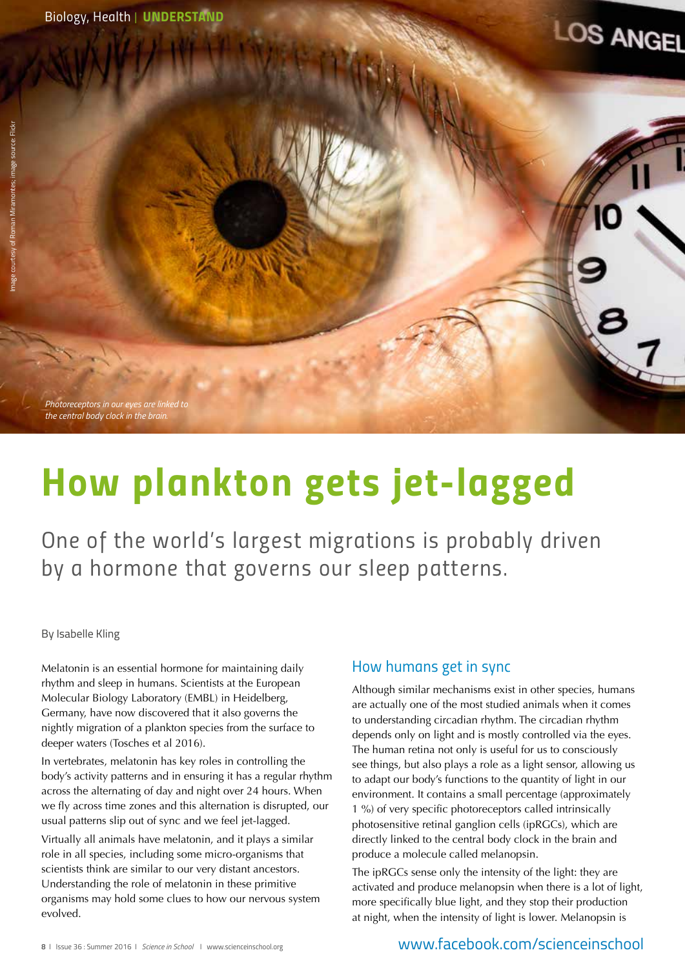*Photoreceptors in our eyes are linked to the central body clock in the brain.*

# *How plankton gets jet-lagged*

*One of the world's largest migrations is probably driven by a hormone that governs our sleep patterns.*

#### By Isabelle Kling

Melatonin is an essential hormone for maintaining daily rhythm and sleep in humans. Scientists at the European Molecular Biology Laboratory (EMBL) in Heidelberg, Germany, have now discovered that it also governs the nightly migration of a plankton species from the surface to deeper waters (Tosches et al 2016).

In vertebrates, melatonin has key roles in controlling the body's activity patterns and in ensuring it has a regular rhythm across the alternating of day and night over 24 hours. When we fly across time zones and this alternation is disrupted, our usual patterns slip out of sync and we feel jet-lagged.

Virtually all animals have melatonin, and it plays a similar role in all species, including some micro-organisms that scientists think are similar to our very distant ancestors. Understanding the role of melatonin in these primitive organisms may hold some clues to how our nervous system evolved.

## *How humans get in sync*

Although similar mechanisms exist in other species, humans are actually one of the most studied animals when it comes to understanding circadian rhythm. The circadian rhythm depends only on light and is mostly controlled via the eyes. The human retina not only is useful for us to consciously see things, but also plays a role as a light sensor, allowing us to adapt our body's functions to the quantity of light in our environment. It contains a small percentage (approximately 1 %) of very specific photoreceptors called intrinsically photosensitive retinal ganglion cells (ipRGCs), which are directly linked to the central body clock in the brain and produce a molecule called melanopsin.

**LOS ANGEL** 

The ipRGCs sense only the intensity of the light: they are activated and produce melanopsin when there is a lot of light, more specifically blue light, and they stop their production at night, when the intensity of light is lower. Melanopsin is

## www.facebook.com/scienceinschool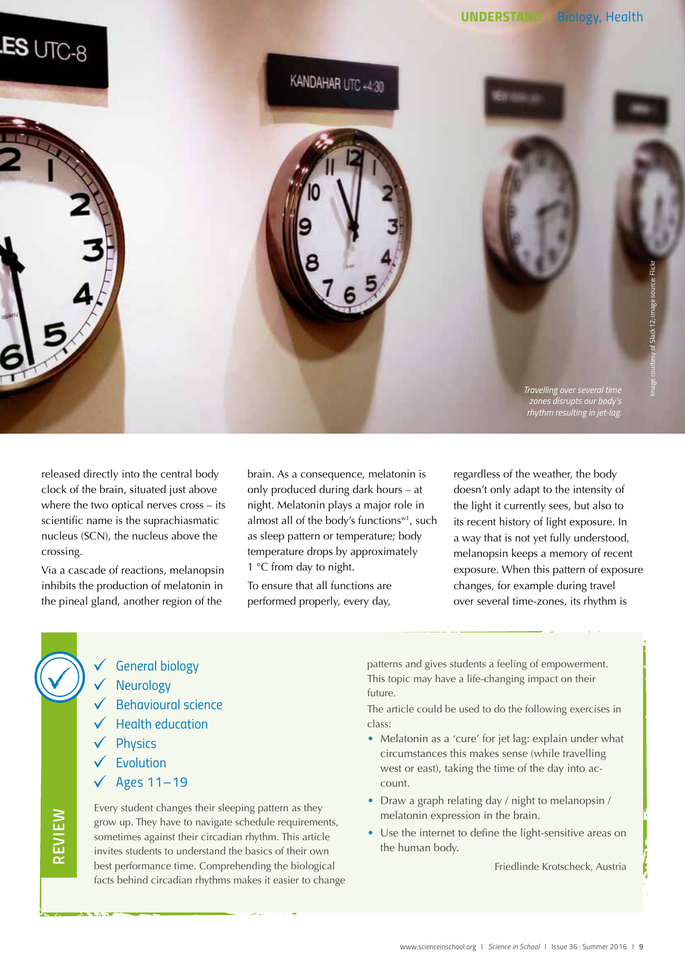



released directly into the central body clock of the brain, situated just above where the two optical nerves cross – its scientific name is the suprachiasmatic nucleus (SCN), the nucleus above the crossing.

Via a cascade of reactions, melanopsin inhibits the production of melatonin in the pineal gland, another region of the

brain. As a consequence, melatonin is only produced during dark hours – at night. Melatonin plays a major role in almost all of the body's functions<sup>w1</sup>, such as sleep pattern or temperature; body temperature drops by approximately 1 °C from day to night.

To ensure that all functions are performed properly, every day,

regardless of the weather, the body doesn't only adapt to the intensity of the light it currently sees, but also to its recent history of light exposure. In a way that is not yet fully understood, melanopsin keeps a memory of recent exposure. When this pattern of exposure changes, for example during travel over several time-zones, its rhythm is

- *General biology*
- *Neurology*
- *Behavioural science*
- *Health education*
- *Physics*
- *Evolution*
- *Ages 11–19*

Every student changes their sleeping pattern as they grow up. They have to navigate schedule requirements, sometimes against their circadian rhythm. This article invites students to understand the basics of their own best performance time. Comprehending the biological facts behind circadian rhythms makes it easier to change

patterns and gives students a feeling of empowerment. This topic may have a life-changing impact on their future.

The article could be used to do the following exercises in class:

- Melatonin as a 'cure' for jet lag: explain under what circumstances this makes sense (while travelling west or east), taking the time of the day into account.
- Draw a graph relating day / night to melanopsin / melatonin expression in the brain.
- Use the internet to define the light-sensitive areas on the human body.

Friedlinde Krotscheck, Austria

*REVIEW*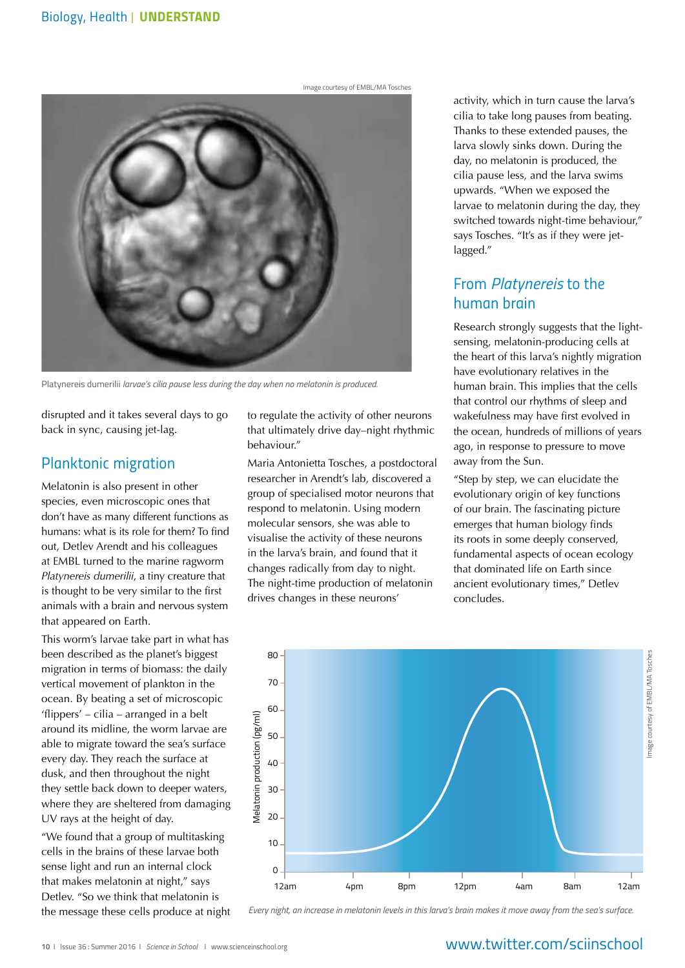Image courtesy of EMBL/MA Tosches



Platynereis dumerilii *larvae's cilia pause less during the day when no melatonin is produced.* 

disrupted and it takes several days to go back in sync, causing jet-lag.

## *Planktonic migration*

Melatonin is also present in other species, even microscopic ones that don't have as many different functions as humans: what is its role for them? To find out, Detlev Arendt and his colleagues at EMBL turned to the marine ragworm *Platynereis dumerilii*, a tiny creature that is thought to be very similar to the first animals with a brain and nervous system that appeared on Earth.

This worm's larvae take part in what has been described as the planet's biggest migration in terms of biomass: the daily vertical movement of plankton in the ocean. By beating a set of microscopic 'flippers' – cilia – arranged in a belt around its midline, the worm larvae are able to migrate toward the sea's surface every day. They reach the surface at dusk, and then throughout the night they settle back down to deeper waters, where they are sheltered from damaging UV rays at the height of day.

"We found that a group of multitasking cells in the brains of these larvae both sense light and run an internal clock that makes melatonin at night," says Detlev. "So we think that melatonin is the message these cells produce at night to regulate the activity of other neurons that ultimately drive day–night rhythmic behaviour."

Maria Antonietta Tosches, a postdoctoral researcher in Arendt's lab, discovered a group of specialised motor neurons that respond to melatonin. Using modern molecular sensors, she was able to visualise the activity of these neurons in the larva's brain, and found that it changes radically from day to night. The night-time production of melatonin drives changes in these neurons'

activity, which in turn cause the larva's cilia to take long pauses from beating. Thanks to these extended pauses, the larva slowly sinks down. During the day, no melatonin is produced, the cilia pause less, and the larva swims upwards. "When we exposed the larvae to melatonin during the day, they switched towards night-time behaviour," says Tosches. "It's as if they were jetlagged."

## *From Platynereis to the human brain*

Research strongly suggests that the lightsensing, melatonin-producing cells at the heart of this larva's nightly migration have evolutionary relatives in the human brain. This implies that the cells that control our rhythms of sleep and wakefulness may have first evolved in the ocean, hundreds of millions of years ago, in response to pressure to move away from the Sun.

"Step by step, we can elucidate the evolutionary origin of key functions of our brain. The fascinating picture emerges that human biology finds its roots in some deeply conserved, fundamental aspects of ocean ecology that dominated life on Earth since ancient evolutionary times," Detlev concludes.



*Every night, an increase in melatonin levels in this larva's brain makes it move away from the sea's surface.* 

## www.twitter.com/sciinschool